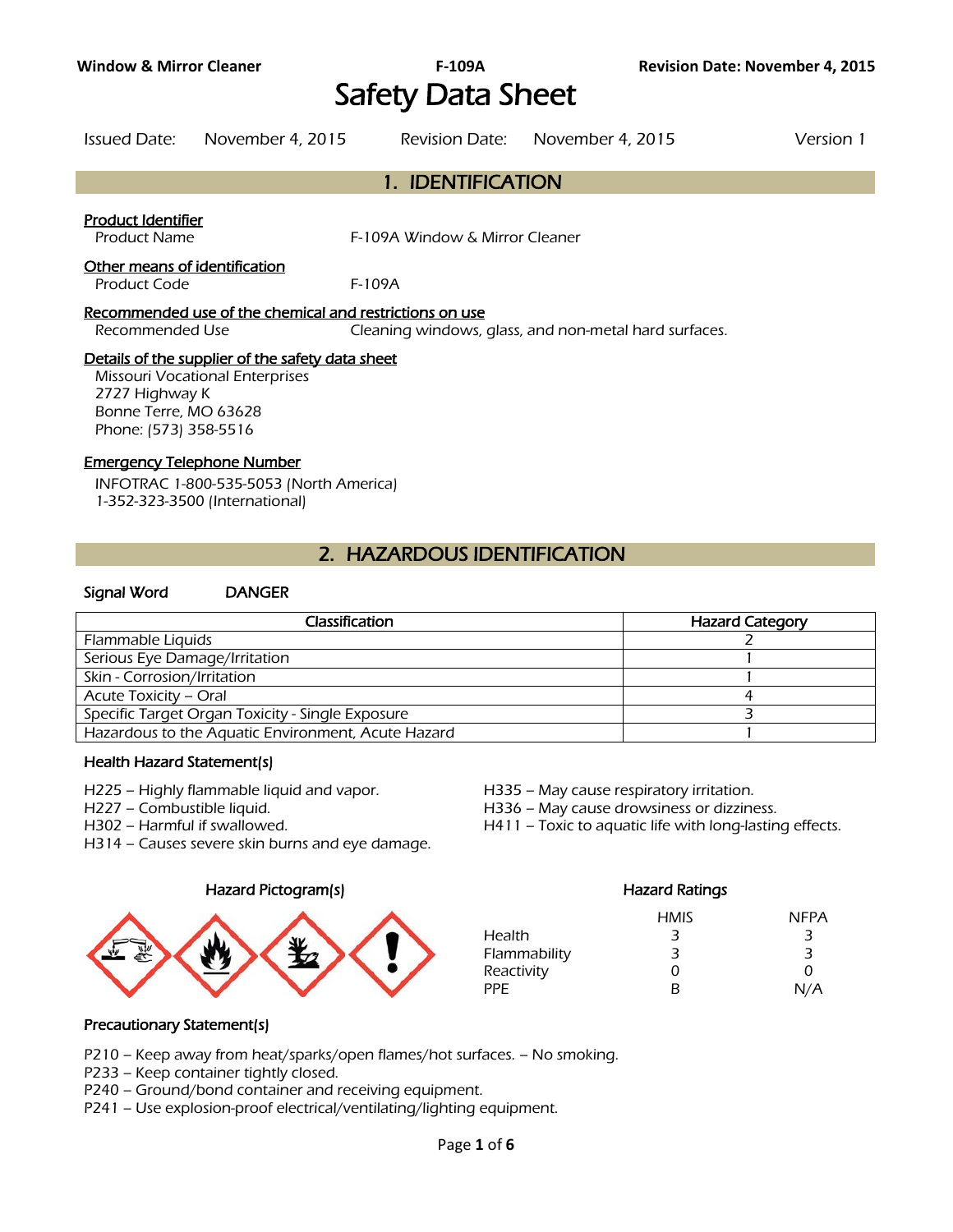# Safety Data Sheet

Issued Date: November 4, 2015 Revision Date: November 4, 2015 Version 1

# 1. IDENTIFICATION

### Product Identifier

Product Name F-109A Window & Mirror Cleaner

#### Other means of identification

Product Code F-109A

#### Recommended use of the chemical and restrictions on use

Recommended Use Cleaning windows, glass, and non-metal hard surfaces.

### Details of the supplier of the safety data sheet

Missouri Vocational Enterprises 2727 Highway K Bonne Terre, MO 63628 Phone: (573) 358-5516

#### Emergency Telephone Number

INFOTRAC 1-800-535-5053 (North America) 1-352-323-3500 (International)

# 2. HAZARDOUS IDENTIFICATION

# Signal Word DANGER

| Classification                                     | <b>Hazard Category</b> |
|----------------------------------------------------|------------------------|
| Flammable Liquids                                  |                        |
| Serious Eye Damage/Irritation                      |                        |
| Skin - Corrosion/Irritation                        |                        |
| Acute Toxicity - Oral                              |                        |
| Specific Target Organ Toxicity - Single Exposure   |                        |
| Hazardous to the Aquatic Environment, Acute Hazard |                        |
|                                                    |                        |

#### Health Hazard Statement(s)

- H225 Highly flammable liquid and vapor. H335 May cause respiratory irritation.
- 

H314 – Causes severe skin burns and eye damage.

#### Hazard Pictogram(s) Fazard Ratings



H227 – Combustible liquid. H336 – May cause drowsiness or dizziness.

H302 – Harmful if swallowed. H411 – Toxic to aquatic life with long-lasting effects.

|              | <b>HMIS</b> | <b>NFPA</b> |
|--------------|-------------|-------------|
| Health       | 3           | 3           |
| Flammability | 3           | З           |
| Reactivity   | Ω           | 0           |
| PPF          | в           | N/A         |

# Precautionary Statement(s)

- P210 Keep away from heat/sparks/open flames/hot surfaces. No smoking.
- P233 Keep container tightly closed.
- P240 Ground/bond container and receiving equipment.
- P241 Use explosion-proof electrical/ventilating/lighting equipment.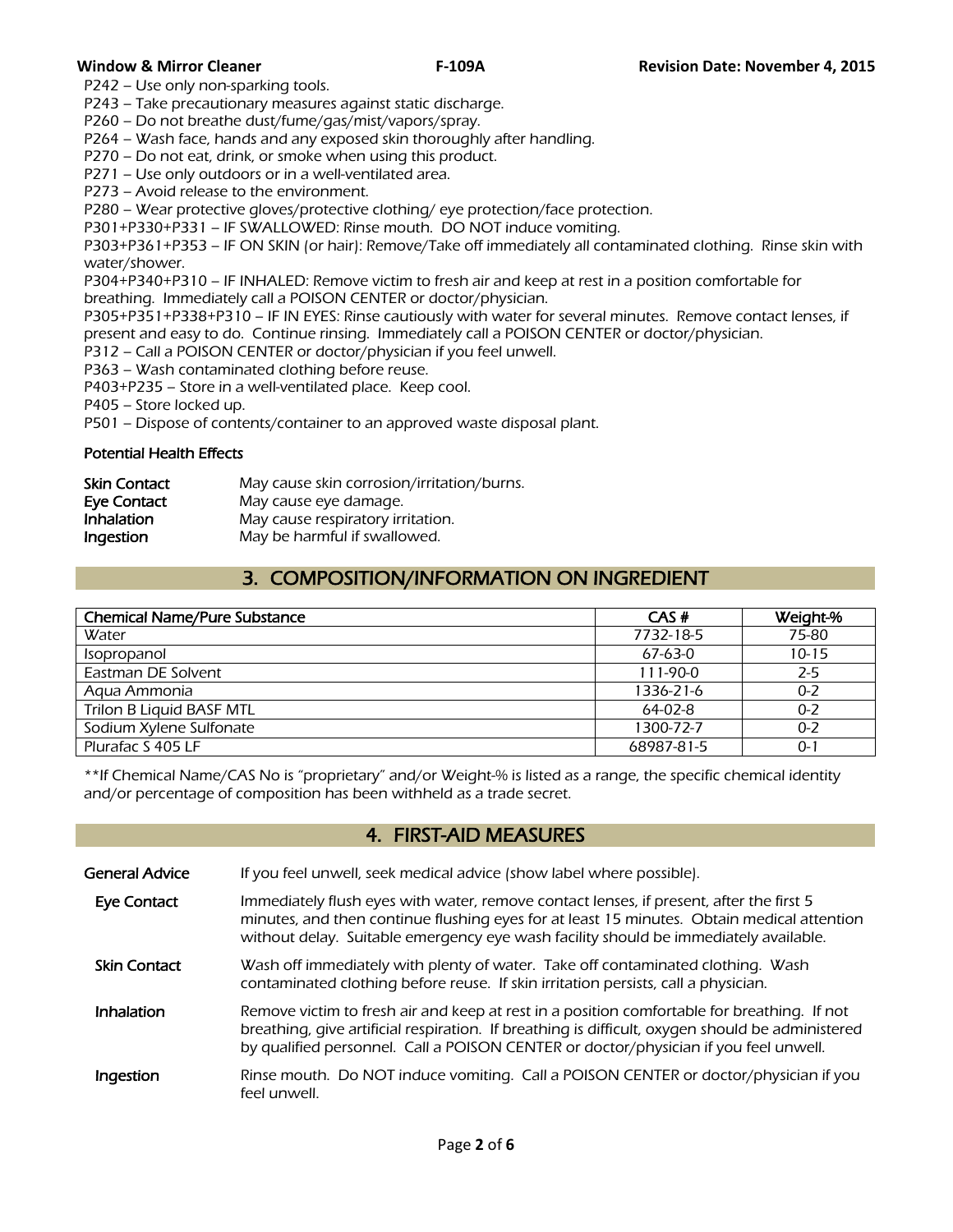P242 – Use only non-sparking tools.

P243 – Take precautionary measures against static discharge.

P260 – Do not breathe dust/fume/gas/mist/vapors/spray.

P264 – Wash face, hands and any exposed skin thoroughly after handling.

P270 – Do not eat, drink, or smoke when using this product.

P271 – Use only outdoors or in a well-ventilated area.

P273 – Avoid release to the environment.

P280 – Wear protective gloves/protective clothing/ eye protection/face protection.

P301+P330+P331 – IF SWALLOWED: Rinse mouth. DO NOT induce vomiting.

P303+P361+P353 – IF ON SKIN (or hair): Remove/Take off immediately all contaminated clothing. Rinse skin with water/shower.

P304+P340+P310 – IF INHALED: Remove victim to fresh air and keep at rest in a position comfortable for breathing. Immediately call a POISON CENTER or doctor/physician.

P305+P351+P338+P310 – IF IN EYES: Rinse cautiously with water for several minutes. Remove contact lenses, if present and easy to do. Continue rinsing. Immediately call a POISON CENTER or doctor/physician.

P312 – Call a POISON CENTER or doctor/physician if you feel unwell.

P363 – Wash contaminated clothing before reuse.

P403+P235 – Store in a well-ventilated place. Keep cool.

P405 – Store locked up.

P501 – Dispose of contents/container to an approved waste disposal plant.

#### Potential Health Effects

| <b>Skin Contact</b> | May cause skin corrosion/irritation/burns. |
|---------------------|--------------------------------------------|
| Eye Contact         | May cause eye damage.                      |
| Inhalation          | May cause respiratory irritation.          |
| Ingestion           | May be harmful if swallowed.               |

# 3. COMPOSITION/INFORMATION ON INGREDIENT

| <b>Chemical Name/Pure Substance</b> | CAS#       | Weight-%  |
|-------------------------------------|------------|-----------|
| Water                               | 7732-18-5  | 75-80     |
| Isopropanol                         | $67-63-0$  | $10 - 15$ |
| Eastman DE Solvent                  | $111-90-0$ | $2 - 5$   |
| Agua Ammonia                        | 1336-21-6  | $0 - 2$   |
| Trilon B Liquid BASF MTL            | $64-02-8$  | $0 - 2$   |
| Sodium Xylene Sulfonate             | 1300-72-7  | $0 - 2$   |
| Plurafac S 405 LF                   | 68987-81-5 | $0 - 1$   |
|                                     |            |           |

\*\*If Chemical Name/CAS No is "proprietary" and/or Weight-% is listed as a range, the specific chemical identity and/or percentage of composition has been withheld as a trade secret.

# 4. FIRST-AID MEASURES

General Advice If you feel unwell, seek medical advice (show label where possible).

Eye Contact Immediately flush eyes with water, remove contact lenses, if present, after the first 5 minutes, and then continue flushing eyes for at least 15 minutes. Obtain medical attention without delay. Suitable emergency eye wash facility should be immediately available.

Skin Contact Wash off immediately with plenty of water. Take off contaminated clothing. Wash contaminated clothing before reuse. If skin irritation persists, call a physician.

Inhalation Remove victim to fresh air and keep at rest in a position comfortable for breathing. If not breathing, give artificial respiration. If breathing is difficult, oxygen should be administered by qualified personnel. Call a POISON CENTER or doctor/physician if you feel unwell.

**Ingestion** Rinse mouth. Do NOT induce vomiting. Call a POISON CENTER or doctor/physician if you feel unwell.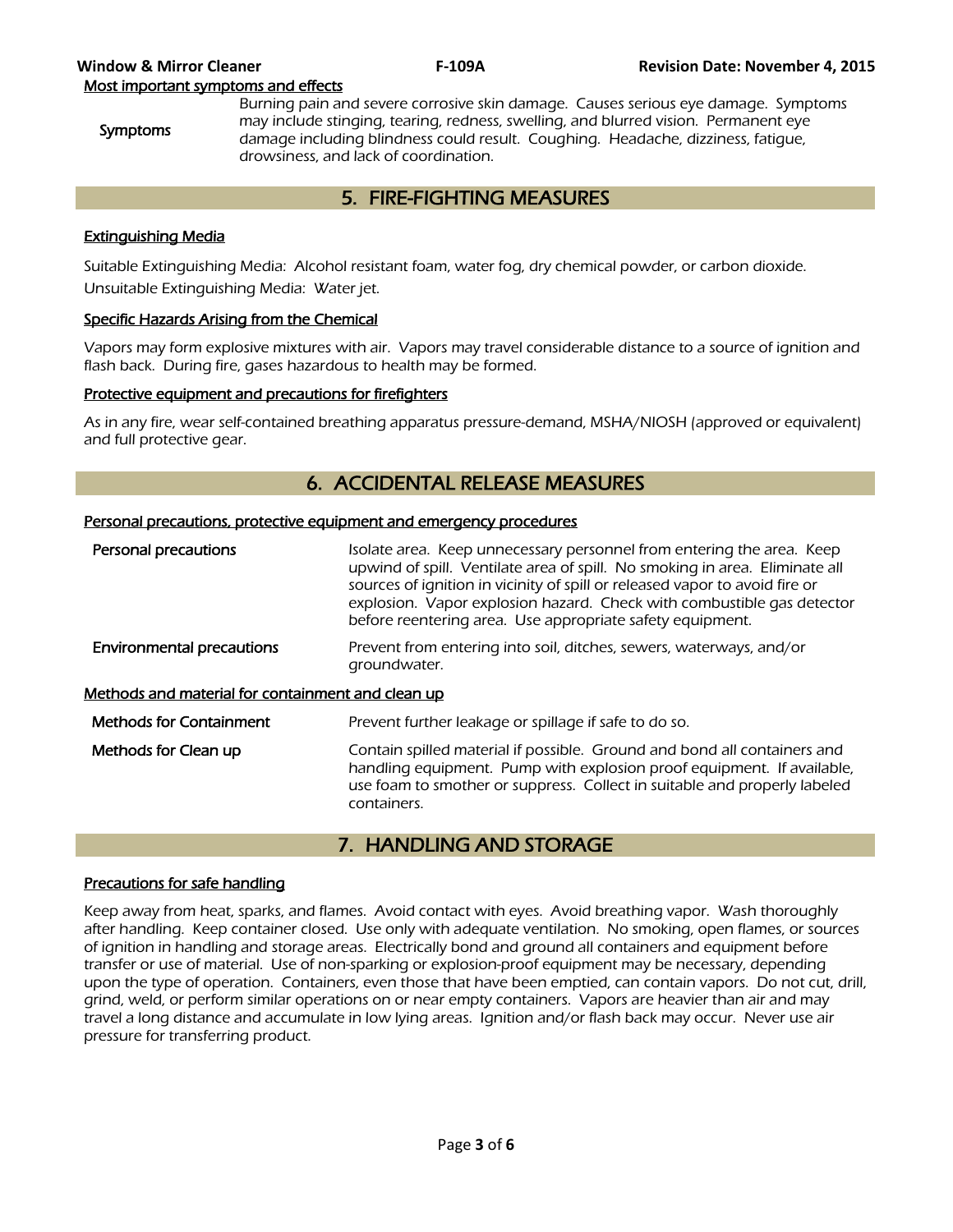Symptoms

Burning pain and severe corrosive skin damage. Causes serious eye damage. Symptoms may include stinging, tearing, redness, swelling, and blurred vision. Permanent eye damage including blindness could result. Coughing. Headache, dizziness, fatigue, drowsiness, and lack of coordination.

# 5. FIRE-FIGHTING MEASURES

# Extinguishing Media

Suitable Extinguishing Media: Alcohol resistant foam, water fog, dry chemical powder, or carbon dioxide. Unsuitable Extinguishing Media: Water jet.

# Specific Hazards Arising from the Chemical

Vapors may form explosive mixtures with air. Vapors may travel considerable distance to a source of ignition and flash back. During fire, gases hazardous to health may be formed.

# Protective equipment and precautions for firefighters

As in any fire, wear self-contained breathing apparatus pressure-demand, MSHA/NIOSH (approved or equivalent) and full protective gear.

# 6. ACCIDENTAL RELEASE MEASURES

### Personal precautions, protective equipment and emergency procedures

| Personal precautions                              | Isolate area. Keep unnecessary personnel from entering the area. Keep<br>upwind of spill. Ventilate area of spill. No smoking in area. Eliminate all<br>sources of ignition in vicinity of spill or released vapor to avoid fire or<br>explosion. Vapor explosion hazard. Check with combustible gas detector<br>before reentering area. Use appropriate safety equipment. |
|---------------------------------------------------|----------------------------------------------------------------------------------------------------------------------------------------------------------------------------------------------------------------------------------------------------------------------------------------------------------------------------------------------------------------------------|
| <b>Environmental precautions</b>                  | Prevent from entering into soil, ditches, sewers, waterways, and/or<br>groundwater.                                                                                                                                                                                                                                                                                        |
| Methods and material for containment and clean up |                                                                                                                                                                                                                                                                                                                                                                            |
| <b>Methods for Containment</b>                    | Prevent further leakage or spillage if safe to do so.                                                                                                                                                                                                                                                                                                                      |
| Methods for Clean up                              | Contain spilled material if possible. Ground and bond all containers and<br>handling equipment. Pump with explosion proof equipment. If available,<br>use foam to smother or suppress. Collect in suitable and properly labeled<br>containers.                                                                                                                             |

# 7. HANDLING AND STORAGE

#### Precautions for safe handling

Keep away from heat, sparks, and flames. Avoid contact with eyes. Avoid breathing vapor. Wash thoroughly after handling. Keep container closed. Use only with adequate ventilation. No smoking, open flames, or sources of ignition in handling and storage areas. Electrically bond and ground all containers and equipment before transfer or use of material. Use of non-sparking or explosion-proof equipment may be necessary, depending upon the type of operation. Containers, even those that have been emptied, can contain vapors. Do not cut, drill, grind, weld, or perform similar operations on or near empty containers. Vapors are heavier than air and may travel a long distance and accumulate in low lying areas. Ignition and/or flash back may occur. Never use air pressure for transferring product.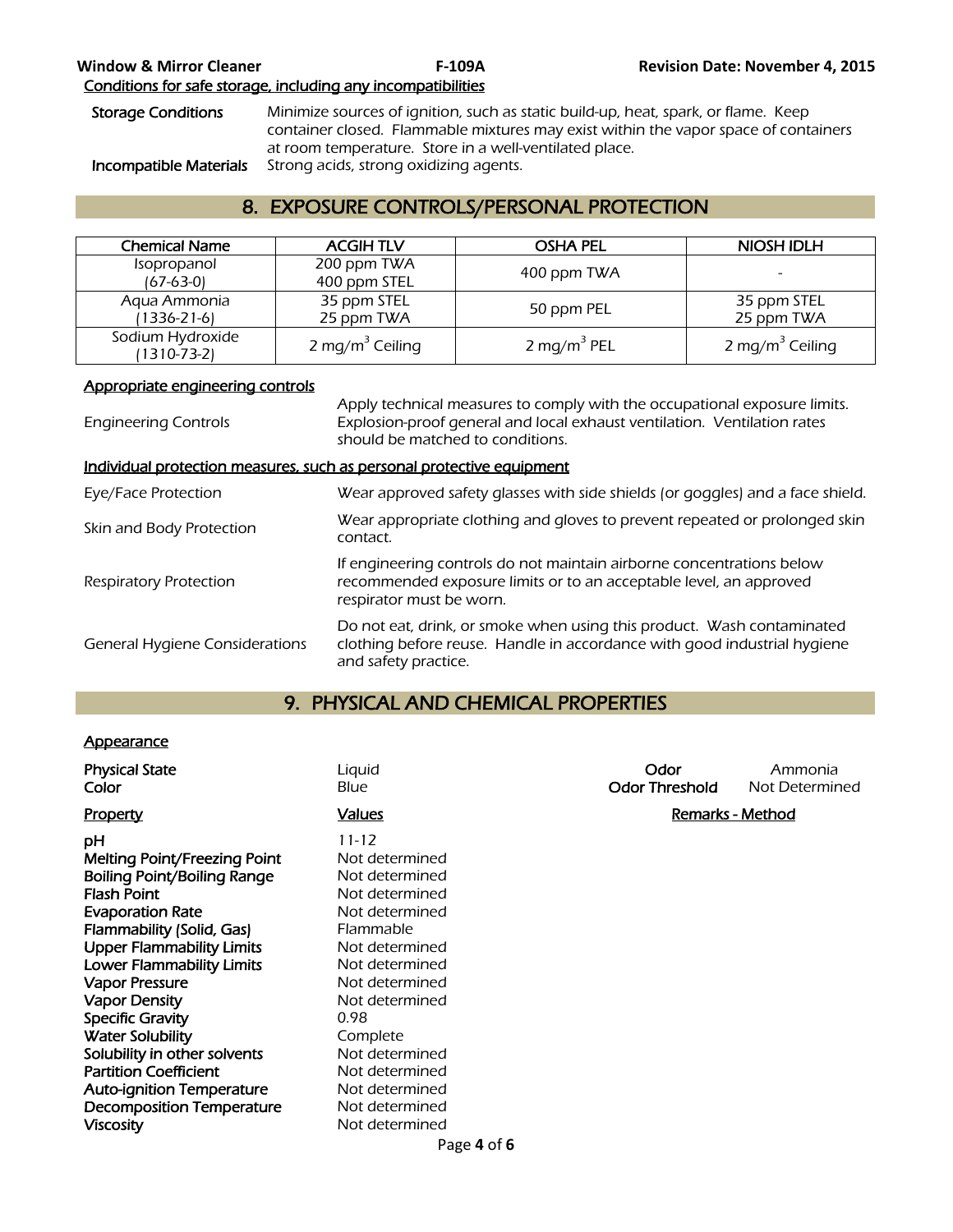# Storage Conditions Minimize sources of ignition, such as static build-up, heat, spark, or flame. Keep container closed. Flammable mixtures may exist within the vapor space of containers at room temperature. Store in a well-ventilated place. Incompatible Materials Strong acids, strong oxidizing agents.

# 8. EXPOSURE CONTROLS/PERSONAL PROTECTION

| <b>Chemical Name</b>            | <b>ACGIHTLV</b>             | <b>OSHA PEL</b>         | <b>NIOSH IDLH</b>           |
|---------------------------------|-----------------------------|-------------------------|-----------------------------|
| Isopropanol<br>$(67-63-0)$      | 200 ppm TWA<br>400 ppm STEL | 400 ppm TWA             |                             |
| Aqua Ammonia<br>(1336-21-6)     | 35 ppm STEL<br>25 ppm TWA   | 50 ppm PEL              | 35 ppm STEL<br>25 ppm TWA   |
| Sodium Hydroxide<br>(1310-73-2) | 2 mg/m <sup>3</sup> Ceiling | 2 mg/m <sup>3</sup> PEL | 2 mg/m <sup>3</sup> Ceiling |

# Appropriate engineering controls

| <b>Engineering Controls</b>                                           | Apply technical measures to comply with the occupational exposure limits.<br>Explosion-proof general and local exhaust ventilation. Ventilation rates<br>should be matched to conditions. |
|-----------------------------------------------------------------------|-------------------------------------------------------------------------------------------------------------------------------------------------------------------------------------------|
| Individual protection measures, such as personal protective equipment |                                                                                                                                                                                           |
| Eye/Face Protection                                                   | Wear approved safety glasses with side shields (or goggles) and a face shield.                                                                                                            |
| Skin and Body Protection                                              | Wear appropriate clothing and gloves to prevent repeated or prolonged skin<br>contact.                                                                                                    |
| <b>Respiratory Protection</b>                                         | If engineering controls do not maintain airborne concentrations below<br>recommended exposure limits or to an acceptable level, an approved<br>respirator must be worn.                   |
| <b>General Hygiene Considerations</b>                                 | Do not eat, drink, or smoke when using this product. Wash contaminated<br>clothing before reuse. Handle in accordance with good industrial hygiene<br>and safety practice.                |

# 9. PHYSICAL AND CHEMICAL PROPERTIES

# **Appearance**

| <b>Physical State</b><br>Color                                                                                                                                                                                                                                                                                                                                                                        | Liquid<br>Blue                                                                                                                                                                                                                 | Odor<br><b>Odor Threshold</b> | Ammonia<br>Not Determined |
|-------------------------------------------------------------------------------------------------------------------------------------------------------------------------------------------------------------------------------------------------------------------------------------------------------------------------------------------------------------------------------------------------------|--------------------------------------------------------------------------------------------------------------------------------------------------------------------------------------------------------------------------------|-------------------------------|---------------------------|
| <b>Property</b>                                                                                                                                                                                                                                                                                                                                                                                       | <u>Values</u>                                                                                                                                                                                                                  | <b>Remarks - Method</b>       |                           |
| рH<br>Melting Point/Freezing Point<br><b>Boiling Point/Boiling Range</b><br><b>Flash Point</b><br><b>Evaporation Rate</b><br>Flammability (Solid, Gas)<br><b>Upper Flammability Limits</b><br><b>Lower Flammability Limits</b><br><b>Vapor Pressure</b><br><b>Vapor Density</b><br><b>Specific Gravity</b><br><b>Water Solubility</b><br>Solubility in other solvents<br><b>Partition Coefficient</b> | $11 - 12$<br>Not determined<br>Not determined<br>Not determined<br>Not determined<br>Flammable<br>Not determined<br>Not determined<br>Not determined<br>Not determined<br>0.98<br>Complete<br>Not determined<br>Not determined |                               |                           |
| <b>Auto-ignition Temperature</b><br><b>Decomposition Temperature</b>                                                                                                                                                                                                                                                                                                                                  | Not determined<br>Not determined                                                                                                                                                                                               |                               |                           |
| <b>Viscosity</b>                                                                                                                                                                                                                                                                                                                                                                                      | Not determined                                                                                                                                                                                                                 |                               |                           |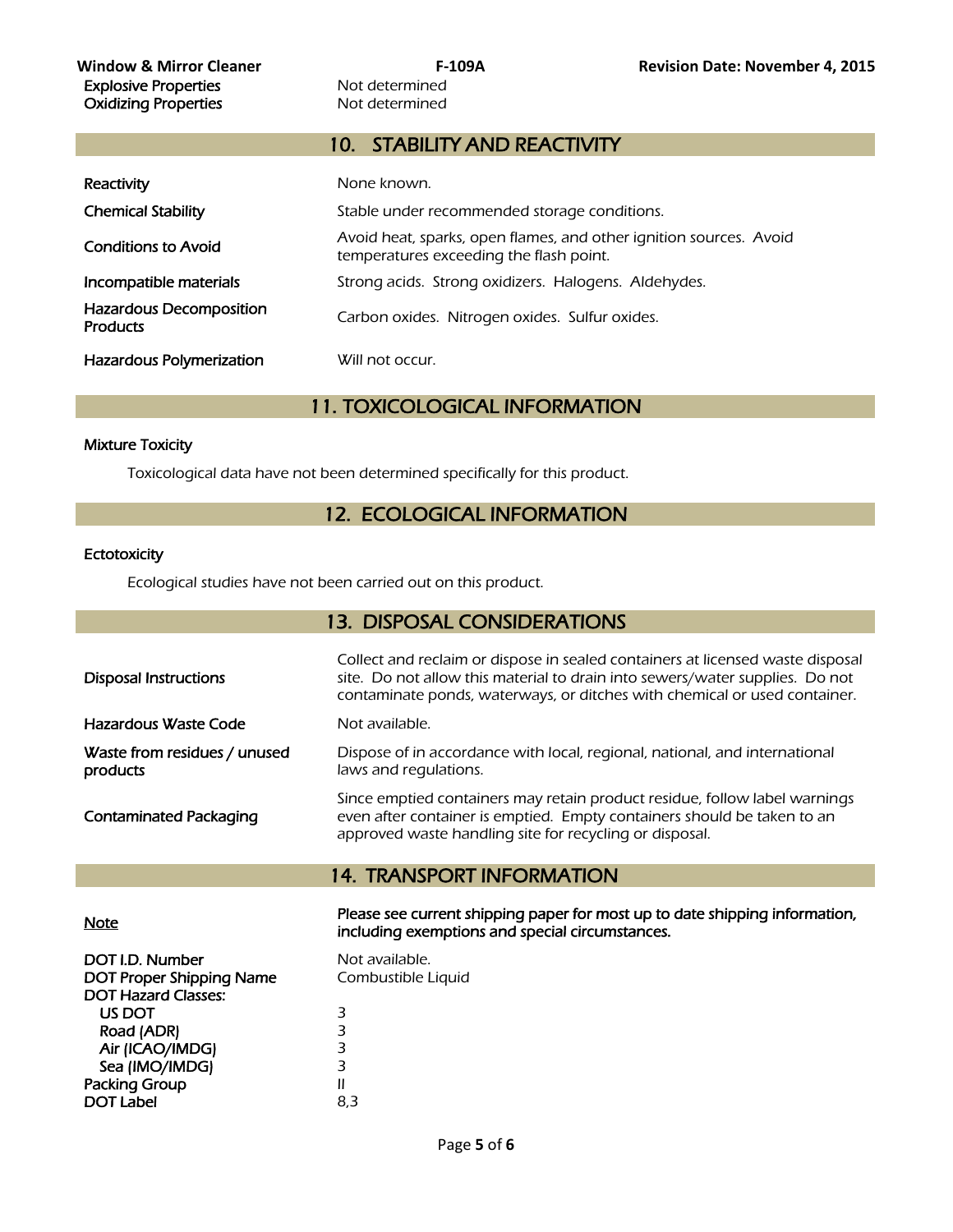# 10. STABILITY AND REACTIVITY

| Reactivity                                        | None known.                                                                                                   |
|---------------------------------------------------|---------------------------------------------------------------------------------------------------------------|
| <b>Chemical Stability</b>                         | Stable under recommended storage conditions.                                                                  |
| <b>Conditions to Avoid</b>                        | Avoid heat, sparks, open flames, and other ignition sources. Avoid<br>temperatures exceeding the flash point. |
| Incompatible materials                            | Strong acids. Strong oxidizers. Halogens. Aldehydes.                                                          |
| <b>Hazardous Decomposition</b><br><b>Products</b> | Carbon oxides. Nitrogen oxides. Sulfur oxides.                                                                |
| <b>Hazardous Polymerization</b>                   | Will not occur.                                                                                               |

11. TOXICOLOGICAL INFORMATION

# Mixture Toxicity

Toxicological data have not been determined specifically for this product.

# 12. ECOLOGICAL INFORMATION

### **Ectotoxicity**

Ecological studies have not been carried out on this product.

# 13. DISPOSAL CONSIDERATIONS

| contaminate ponds, waterways, or ditches with chemical or used container.                                                                                                                                                                         |  |
|---------------------------------------------------------------------------------------------------------------------------------------------------------------------------------------------------------------------------------------------------|--|
| Hazardous Waste Code<br>Not available.                                                                                                                                                                                                            |  |
| Waste from residues / unused<br>Dispose of in accordance with local, regional, national, and international<br>laws and regulations.<br>products                                                                                                   |  |
| Since emptied containers may retain product residue, follow label warnings<br>even after container is emptied. Empty containers should be taken to an<br><b>Contaminated Packaging</b><br>approved waste handling site for recycling or disposal. |  |
| <b>14. TRANSPORT INFORMATION</b>                                                                                                                                                                                                                  |  |
| Please see current shipping paper for most up to date shipping information,<br><b>Note</b><br>including exemptions and special circumstances.                                                                                                     |  |
| DOT I.D. Number<br>Not available.<br><b>DOT Proper Shipping Name</b><br>Combustible Liquid<br><b>DOT Hazard Classes:</b>                                                                                                                          |  |
| US DOT<br>3<br>3<br>Road (ADR)                                                                                                                                                                                                                    |  |

Road (ADR) 3<br>
Air (ICAO/IMDG) 3 Air (ICAO/IMDG) 3<br>Sea (IMO/IMDG) 3 Packing Group **II** 

DOT Label 8,3

Sea (IMO/IMDG)

Page **5** of **6**